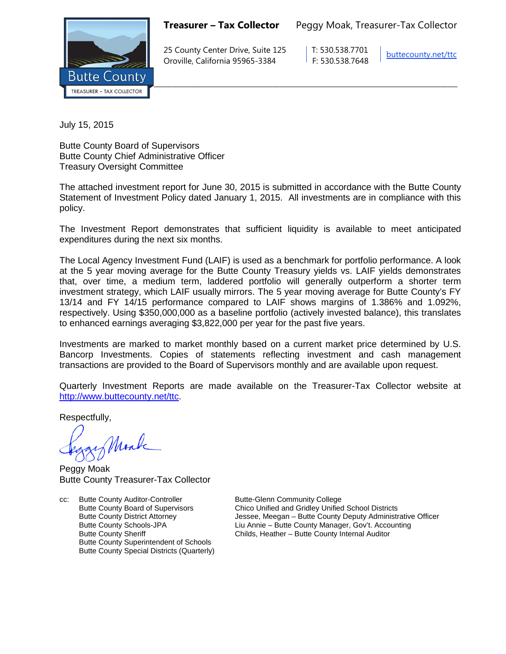**Treasurer – Tax Collector** Peggy Moak, Treasurer-Tax Collector



25 County Center Drive, Suite 125 T: 530.538.7701 Oroville, California 95965-3384 F: 530.538.7648

[buttecounty.net/t](http://www.buttecounty.net/administration)tc

July 15, 2015

Butte County Board of Supervisors Butte County Chief Administrative Officer Treasury Oversight Committee

The attached investment report for June 30, 2015 is submitted in accordance with the Butte County Statement of Investment Policy dated January 1, 2015. All investments are in compliance with this policy.

The Investment Report demonstrates that sufficient liquidity is available to meet anticipated expenditures during the next six months.

The Local Agency Investment Fund (LAIF) is used as a benchmark for portfolio performance. A look at the 5 year moving average for the Butte County Treasury yields vs. LAIF yields demonstrates that, over time, a medium term, laddered portfolio will generally outperform a shorter term investment strategy, which LAIF usually mirrors. The 5 year moving average for Butte County's FY 13/14 and FY 14/15 performance compared to LAIF shows margins of 1.386% and 1.092%, respectively. Using \$350,000,000 as a baseline portfolio (actively invested balance), this translates to enhanced earnings averaging \$3,822,000 per year for the past five years.

Investments are marked to market monthly based on a current market price determined by U.S. Bancorp Investments. Copies of statements reflecting investment and cash management transactions are provided to the Board of Supervisors monthly and are available upon request.

Quarterly Investment Reports are made available on the Treasurer-Tax Collector website at <http://www.buttecounty.net/ttc>

Respectfully,

Mark

Peggy Moak Butte County Treasurer-Tax Collector

cc: Butte County Auditor-Controller Butte-Glenn Community College<br>Butte County Board of Supervisors Chico Unified and Gridley Unified Butte County Superintendent of Schools Butte County Special Districts (Quarterly)

Butte County Board of Supervisors Chico Unified and Gridley Unified School Districts<br>Butte County District Attorney Chico Unified American – Butte County Deputy Administr Jessee, Meegan – Butte County Deputy Administrative Officer Butte County Schools-JPA Liu Annie – Butte County Manager, Gov't. Accounting Butte County Sheriff **Childs**, Heather – Butte County Internal Auditor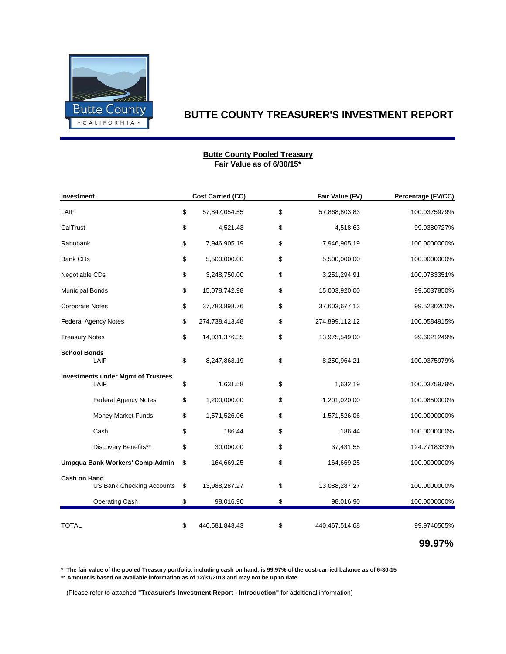

#### **Fair Value as of 6/30/15\* Butte County Pooled Treasury**

| Investment                                              |    | <b>Cost Carried (CC)</b> | Fair Value (FV)      | Percentage (FV/CC) |
|---------------------------------------------------------|----|--------------------------|----------------------|--------------------|
| LAIF                                                    | \$ | 57,847,054.55            | \$<br>57,868,803.83  | 100.0375979%       |
| CalTrust                                                | \$ | 4,521.43                 | \$<br>4,518.63       | 99.9380727%        |
| Rabobank                                                | \$ | 7,946,905.19             | \$<br>7,946,905.19   | 100.0000000%       |
| <b>Bank CDs</b>                                         | \$ | 5,500,000.00             | \$<br>5,500,000.00   | 100.0000000%       |
| Negotiable CDs                                          | \$ | 3,248,750.00             | \$<br>3,251,294.91   | 100.0783351%       |
| <b>Municipal Bonds</b>                                  | \$ | 15,078,742.98            | \$<br>15,003,920.00  | 99.5037850%        |
| <b>Corporate Notes</b>                                  | \$ | 37,783,898.76            | \$<br>37,603,677.13  | 99.5230200%        |
| <b>Federal Agency Notes</b>                             | \$ | 274,738,413.48           | \$<br>274,899,112.12 | 100.0584915%       |
| <b>Treasury Notes</b>                                   |    | 14,031,376.35            | \$<br>13,975,549.00  | 99.6021249%        |
| <b>School Bonds</b><br>LAIF                             |    | 8,247,863.19             | \$<br>8,250,964.21   | 100.0375979%       |
| <b>Investments under Mgmt of Trustees</b><br>LAIF       | \$ | 1,631.58                 | \$<br>1,632.19       | 100.0375979%       |
| <b>Federal Agency Notes</b>                             | \$ | 1,200,000.00             | \$<br>1,201,020.00   | 100.0850000%       |
| <b>Money Market Funds</b>                               | \$ | 1,571,526.06             | \$<br>1,571,526.06   | 100.0000000%       |
| Cash                                                    | \$ | 186.44                   | \$<br>186.44         | 100.0000000%       |
| Discovery Benefits**                                    | \$ | 30,000.00                | \$<br>37,431.55      | 124.7718333%       |
| Umpqua Bank-Workers' Comp Admin                         | \$ | 164,669.25               | \$<br>164,669.25     | 100.0000000%       |
| <b>Cash on Hand</b><br><b>US Bank Checking Accounts</b> | \$ | 13,088,287.27            | \$<br>13,088,287.27  | 100.0000000%       |
| <b>Operating Cash</b>                                   | \$ | 98,016.90                | \$<br>98,016.90      | 100.0000000%       |
| <b>TOTAL</b>                                            | \$ | 440,581,843.43           | \$<br>440,467,514.68 | 99.9740505%        |
|                                                         |    |                          |                      | 99.97%             |

**\* The fair value of the pooled Treasury portfolio, including cash on hand, is 99.97% of the cost-carried balance as of 6-30-15**

**\*\* Amount is based on available information as of 12/31/2013 and may not be up to date**

(Please refer to attached **"Treasurer's Investment Report - Introduction"** for additional information)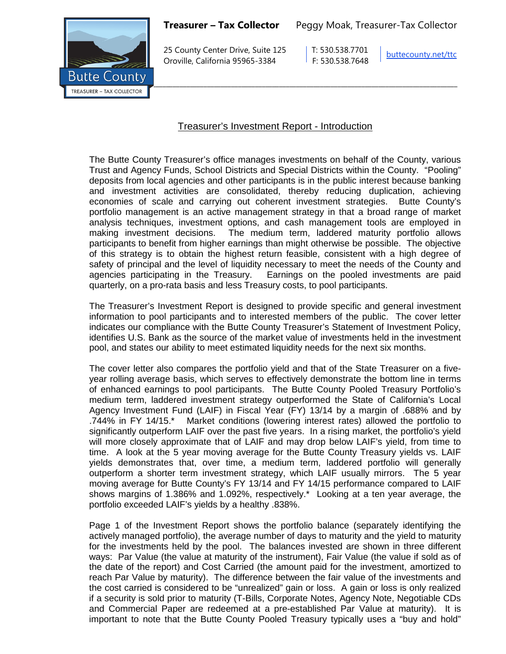

25 County Center Drive, Suite 125 T: 530.538.7701 Oroville, California 95965-3384 F: 530.538.7648

[buttecounty.net/t](http://www.buttecounty.net/administration)tc

## Treasurer's Investment Report - Introduction

The Butte County Treasurer's office manages investments on behalf of the County, various Trust and Agency Funds, School Districts and Special Districts within the County. "Pooling" deposits from local agencies and other participants is in the public interest because banking and investment activities are consolidated, thereby reducing duplication, achieving economies of scale and carrying out coherent investment strategies. Butte County's portfolio management is an active management strategy in that a broad range of market analysis techniques, investment options, and cash management tools are employed in making investment decisions. The medium term, laddered maturity portfolio allows participants to benefit from higher earnings than might otherwise be possible. The objective of this strategy is to obtain the highest return feasible, consistent with a high degree of safety of principal and the level of liquidity necessary to meet the needs of the County and agencies participating in the Treasury. Earnings on the pooled investments are paid quarterly, on a pro-rata basis and less Treasury costs, to pool participants.

The Treasurer's Investment Report is designed to provide specific and general investment information to pool participants and to interested members of the public. The cover letter indicates our compliance with the Butte County Treasurer's Statement of Investment Policy, identifies U.S. Bank as the source of the market value of investments held in the investment pool, and states our ability to meet estimated liquidity needs for the next six months.

The cover letter also compares the portfolio yield and that of the State Treasurer on a fiveyear rolling average basis, which serves to effectively demonstrate the bottom line in terms of enhanced earnings to pool participants. The Butte County Pooled Treasury Portfolio's medium term, laddered investment strategy outperformed the State of California's Local Agency Investment Fund (LAIF) in Fiscal Year (FY) 13/14 by a margin of .688% and by .744% in FY 14/15.\* Market conditions (lowering interest rates) allowed the portfolio to significantly outperform LAIF over the past five years. In a rising market, the portfolio's yield will more closely approximate that of LAIF and may drop below LAIF's yield, from time to time. A look at the 5 year moving average for the Butte County Treasury yields vs. LAIF yields demonstrates that, over time, a medium term, laddered portfolio will generally outperform a shorter term investment strategy, which LAIF usually mirrors. The 5 year moving average for Butte County's FY 13/14 and FY 14/15 performance compared to LAIF shows margins of 1.386% and 1.092%, respectively.\* Looking at a ten year average, the portfolio exceeded LAIF's yields by a healthy .838%.

Page 1 of the Investment Report shows the portfolio balance (separately identifying the actively managed portfolio), the average number of days to maturity and the yield to maturity for the investments held by the pool. The balances invested are shown in three different ways: Par Value (the value at maturity of the instrument), Fair Value (the value if sold as of the date of the report) and Cost Carried (the amount paid for the investment, amortized to reach Par Value by maturity). The difference between the fair value of the investments and the cost carried is considered to be "unrealized" gain or loss. A gain or loss is only realized if a security is sold prior to maturity (T-Bills, Corporate Notes, Agency Note, Negotiable CDs and Commercial Paper are redeemed at a pre-established Par Value at maturity). It is important to note that the Butte County Pooled Treasury typically uses a "buy and hold"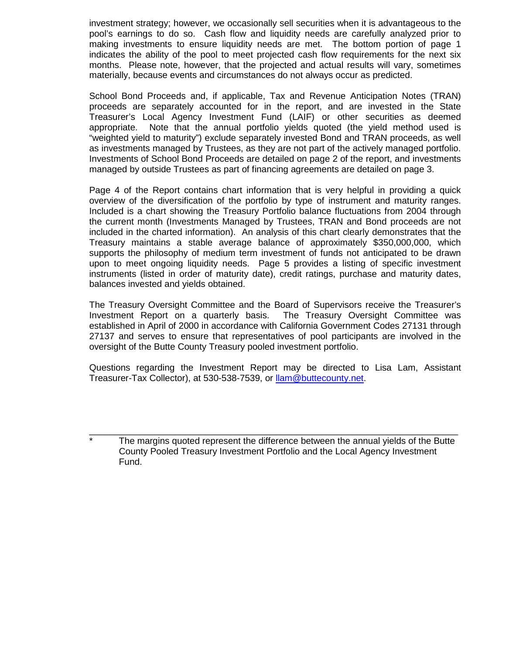investment strategy; however, we occasionally sell securities when it is advantageous to the pool's earnings to do so. Cash flow and liquidity needs are carefully analyzed prior to making investments to ensure liquidity needs are met. The bottom portion of page 1 indicates the ability of the pool to meet projected cash flow requirements for the next six months. Please note, however, that the projected and actual results will vary, sometimes materially, because events and circumstances do not always occur as predicted.

School Bond Proceeds and, if applicable, Tax and Revenue Anticipation Notes (TRAN) proceeds are separately accounted for in the report, and are invested in the State Treasurer's Local Agency Investment Fund (LAIF) or other securities as deemed appropriate. Note that the annual portfolio yields quoted (the yield method used is "weighted yield to maturity") exclude separately invested Bond and TRAN proceeds, as well as investments managed by Trustees, as they are not part of the actively managed portfolio. Investments of School Bond Proceeds are detailed on page 2 of the report, and investments managed by outside Trustees as part of financing agreements are detailed on page 3.

Page 4 of the Report contains chart information that is very helpful in providing a quick overview of the diversification of the portfolio by type of instrument and maturity ranges. Included is a chart showing the Treasury Portfolio balance fluctuations from 2004 through the current month (Investments Managed by Trustees, TRAN and Bond proceeds are not included in the charted information). An analysis of this chart clearly demonstrates that the Treasury maintains a stable average balance of approximately \$350,000,000, which supports the philosophy of medium term investment of funds not anticipated to be drawn upon to meet ongoing liquidity needs. Page 5 provides a listing of specific investment instruments (listed in order of maturity date), credit ratings, purchase and maturity dates, balances invested and yields obtained.

The Treasury Oversight Committee and the Board of Supervisors receive the Treasurer's Investment Report on a quarterly basis. The Treasury Oversight Committee was established in April of 2000 in accordance with California Government Codes 27131 through 27137 and serves to ensure that representatives of pool participants are involved in the oversight of the Butte County Treasury pooled investment portfolio.

Questions regarding the Investment Report may be directed to Lisa Lam, Assistant Treasurer-Tax Collector), at 530-538-7539, or [llam@buttecounty.net.](mailto:llam@buttecounty.net)

The margins quoted represent the difference between the annual yields of the Butte County Pooled Treasury Investment Portfolio and the Local Agency Investment Fund.

\_\_\_\_\_\_\_\_\_\_\_\_\_\_\_\_\_\_\_\_\_\_\_\_\_\_\_\_\_\_\_\_\_\_\_\_\_\_\_\_\_\_\_\_\_\_\_\_\_\_\_\_\_\_\_\_\_\_\_\_\_\_\_\_\_\_\_\_\_\_\_\_\_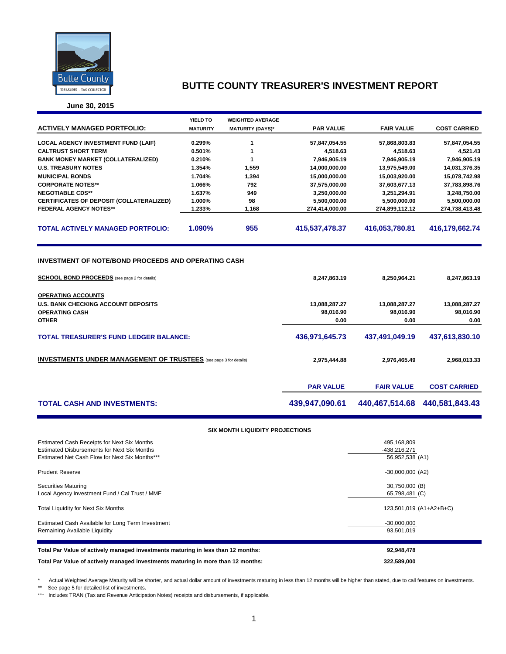

**June 30, 2015**

|                                                                                                                                                                                          | YIELD TO        | <b>WEIGHTED AVERAGE</b>                |                   |                   |                     |  |  |  |
|------------------------------------------------------------------------------------------------------------------------------------------------------------------------------------------|-----------------|----------------------------------------|-------------------|-------------------|---------------------|--|--|--|
| <b>ACTIVELY MANAGED PORTFOLIO:</b>                                                                                                                                                       | <b>MATURITY</b> | <b>MATURITY (DAYS)*</b>                | <b>PAR VALUE</b>  | <b>FAIR VALUE</b> | <b>COST CARRIED</b> |  |  |  |
| <b>LOCAL AGENCY INVESTMENT FUND (LAIF)</b>                                                                                                                                               | 0.299%          | 1                                      | 57,847,054.55     | 57,868,803.83     | 57,847,054.55       |  |  |  |
| <b>CALTRUST SHORT TERM</b>                                                                                                                                                               | 0.501%          | 1                                      | 4,518.63          | 4,518.63          | 4,521.43            |  |  |  |
| <b>BANK MONEY MARKET (COLLATERALIZED)</b>                                                                                                                                                | 0.210%          | 1                                      | 7,946,905.19      | 7,946,905.19      | 7,946,905.19        |  |  |  |
| <b>U.S. TREASURY NOTES</b>                                                                                                                                                               | 1.354%          | 1,559                                  | 14,000,000.00     | 13,975,549.00     | 14,031,376.35       |  |  |  |
| <b>MUNICIPAL BONDS</b>                                                                                                                                                                   | 1.704%          | 1,394                                  | 15,000,000.00     | 15,003,920.00     | 15,078,742.98       |  |  |  |
| <b>CORPORATE NOTES**</b>                                                                                                                                                                 | 1.066%          | 792                                    | 37,575,000.00     | 37,603,677.13     | 37,783,898.76       |  |  |  |
| <b>NEGOTIABLE CDS**</b>                                                                                                                                                                  | 1.637%          | 949                                    | 3,250,000.00      | 3,251,294.91      | 3,248,750.00        |  |  |  |
| CERTIFICATES OF DEPOSIT (COLLATERALIZED)                                                                                                                                                 | 1.000%          | 98                                     | 5,500,000.00      | 5,500,000.00      | 5,500,000.00        |  |  |  |
| <b>FEDERAL AGENCY NOTES**</b>                                                                                                                                                            | 1.233%          | 1.168                                  | 274,414,000.00    | 274,899,112.12    | 274,738,413.48      |  |  |  |
|                                                                                                                                                                                          |                 |                                        |                   |                   |                     |  |  |  |
| <b>TOTAL ACTIVELY MANAGED PORTFOLIO:</b>                                                                                                                                                 | 1.090%          | 955                                    | 415,537,478.37    | 416,053,780.81    | 416,179,662.74      |  |  |  |
| INVESTMENT OF NOTE/BOND PROCEEDS AND OPERATING CASH<br><b>SCHOOL BOND PROCEEDS</b> (see page 2 for details)<br>8,247,863.19<br>8,250,964.21<br>8,247,863.19<br><b>OPERATING ACCOUNTS</b> |                 |                                        |                   |                   |                     |  |  |  |
| <b>U.S. BANK CHECKING ACCOUNT DEPOSITS</b>                                                                                                                                               |                 |                                        | 13,088,287.27     | 13,088,287.27     | 13,088,287.27       |  |  |  |
| <b>OPERATING CASH</b><br><b>OTHER</b>                                                                                                                                                    |                 |                                        | 98,016.90<br>0.00 | 98,016.90<br>0.00 | 98,016.90<br>0.00   |  |  |  |
|                                                                                                                                                                                          |                 |                                        |                   |                   |                     |  |  |  |
| <b>TOTAL TREASURER'S FUND LEDGER BALANCE:</b>                                                                                                                                            |                 |                                        | 436,971,645.73    | 437,491,049.19    | 437,613,830.10      |  |  |  |
| <b>INVESTMENTS UNDER MANAGEMENT OF TRUSTEES</b> (see page 3 for details)                                                                                                                 |                 |                                        | 2,975,444.88      | 2,976,465.49      | 2,968,013.33        |  |  |  |
|                                                                                                                                                                                          |                 |                                        | <b>PAR VALUE</b>  | <b>FAIR VALUE</b> | <b>COST CARRIED</b> |  |  |  |
| <b>TOTAL CASH AND INVESTMENTS:</b>                                                                                                                                                       |                 |                                        | 439,947,090.61    | 440,467,514.68    | 440,581,843.43      |  |  |  |
|                                                                                                                                                                                          |                 | <b>SIX MONTH LIQUIDITY PROJECTIONS</b> |                   |                   |                     |  |  |  |

| Estimated Cash Receipts for Next Six Months<br>Estimated Disbursements for Next Six Months<br>Estimated Net Cash Flow for Next Six Months*** | 495,168,809<br>-438,216,271<br>56,952,538 (A1) |
|----------------------------------------------------------------------------------------------------------------------------------------------|------------------------------------------------|
| <b>Prudent Reserve</b>                                                                                                                       | $-30,000,000$ (A2)                             |
| <b>Securities Maturing</b><br>Local Agency Investment Fund / Cal Trust / MMF                                                                 | 30,750,000 (B)<br>65,798,481 (C)               |
| <b>Total Liquidity for Next Six Months</b>                                                                                                   | 123,501,019 (A1+A2+B+C)                        |
| Estimated Cash Available for Long Term Investment<br>Remaining Available Liquidity                                                           | $-30,000,000$<br>93,501,019                    |
| Total Par Value of actively managed investments maturing in less than 12 months:                                                             | 92,948,478                                     |
| Total Par Value of actively managed investments maturing in more than 12 months:                                                             | 322,589,000                                    |

\* Actual Weighted Average Maturity will be shorter, and actual dollar amount of investments maturing in less than 12 months will be higher than stated, due to call features on investments.

\*\* See page 5 for detailed list of investments.

\*\*\* Includes TRAN (Tax and Revenue Anticipation Notes) receipts and disbursements, if applicable.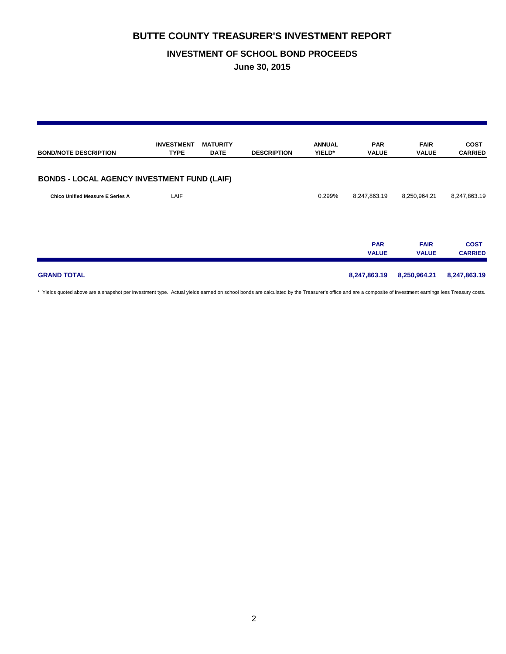### **INVESTMENT OF SCHOOL BOND PROCEEDS**

**June 30, 2015**

| <b>BOND/NOTE DESCRIPTION</b>                       | <b>INVESTMENT</b><br><b>TYPE</b> | <b>MATURITY</b><br><b>DATE</b> | <b>DESCRIPTION</b> | <b>ANNUAL</b><br>YIELD* | <b>PAR</b><br><b>VALUE</b> | <b>FAIR</b><br><b>VALUE</b> | <b>COST</b><br><b>CARRIED</b> |
|----------------------------------------------------|----------------------------------|--------------------------------|--------------------|-------------------------|----------------------------|-----------------------------|-------------------------------|
| <b>BONDS - LOCAL AGENCY INVESTMENT FUND (LAIF)</b> |                                  |                                |                    |                         |                            |                             |                               |
| <b>Chico Unified Measure E Series A</b>            | LAIF                             |                                |                    | 0.299%                  | 8,247,863.19               | 8,250,964.21                | 8,247,863.19                  |
|                                                    |                                  |                                |                    |                         | <b>PAR</b><br><b>VALUE</b> | <b>FAIR</b><br><b>VALUE</b> | <b>COST</b><br><b>CARRIED</b> |
| <b>GRAND TOTAL</b>                                 |                                  |                                |                    |                         | 8,247,863.19               | 8,250,964.21                | 8,247,863.19                  |

\* Yields quoted above are a snapshot per investment type. Actual yields earned on school bonds are calculated by the Treasurer's office and are a composite of investment earnings less Treasury costs.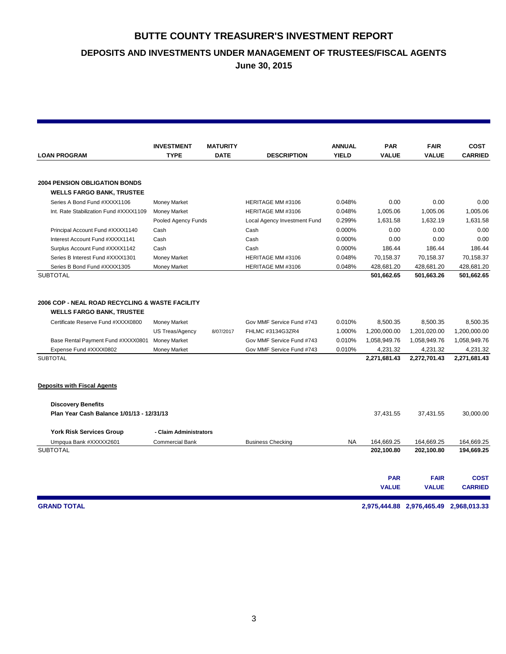**DEPOSITS AND INVESTMENTS UNDER MANAGEMENT OF TRUSTEES/FISCAL AGENTS**

**June 30, 2015**

|                                                                                                                                                                                                              | <b>INVESTMENT</b>                                                             | <b>MATURITY</b> |                                                                                                         | <b>ANNUAL</b>                        | <b>PAR</b>                                                           | <b>FAIR</b>                                                          | <b>COST</b>                                                          |
|--------------------------------------------------------------------------------------------------------------------------------------------------------------------------------------------------------------|-------------------------------------------------------------------------------|-----------------|---------------------------------------------------------------------------------------------------------|--------------------------------------|----------------------------------------------------------------------|----------------------------------------------------------------------|----------------------------------------------------------------------|
| <b>LOAN PROGRAM</b>                                                                                                                                                                                          | <b>TYPE</b>                                                                   | <b>DATE</b>     | <b>DESCRIPTION</b>                                                                                      | <b>YIELD</b>                         | <b>VALUE</b>                                                         | <b>VALUE</b>                                                         | <b>CARRIED</b>                                                       |
|                                                                                                                                                                                                              |                                                                               |                 |                                                                                                         |                                      |                                                                      |                                                                      |                                                                      |
| <b>2004 PENSION OBLIGATION BONDS</b><br><b>WELLS FARGO BANK, TRUSTEE</b>                                                                                                                                     |                                                                               |                 |                                                                                                         |                                      |                                                                      |                                                                      |                                                                      |
| Series A Bond Fund #XXXX1106                                                                                                                                                                                 | <b>Money Market</b>                                                           |                 | HERITAGE MM #3106                                                                                       | 0.048%                               | 0.00                                                                 | 0.00                                                                 | 0.00                                                                 |
| Int. Rate Stabilization Fund #XXXX1109                                                                                                                                                                       | <b>Money Market</b>                                                           |                 | HERITAGE MM #3106                                                                                       | 0.048%                               | 1,005.06                                                             | 1,005.06                                                             | 1,005.06                                                             |
|                                                                                                                                                                                                              | Pooled Agency Funds                                                           |                 | Local Agency Investment Fund                                                                            | 0.299%                               | 1,631.58                                                             | 1,632.19                                                             | 1,631.58                                                             |
| Principal Account Fund #XXXX1140                                                                                                                                                                             | Cash                                                                          |                 | Cash                                                                                                    | 0.000%                               | 0.00                                                                 | 0.00                                                                 | 0.00                                                                 |
| Interest Account Fund #XXXX1141                                                                                                                                                                              | Cash                                                                          |                 | Cash                                                                                                    | 0.000%                               | 0.00                                                                 | 0.00                                                                 | 0.00                                                                 |
| Surplus Account Fund #XXXX1142                                                                                                                                                                               | Cash                                                                          |                 | Cash                                                                                                    | 0.000%                               | 186.44                                                               | 186.44                                                               | 186.44                                                               |
| Series B Interest Fund #XXXX1301                                                                                                                                                                             | <b>Money Market</b>                                                           |                 | HERITAGE MM #3106                                                                                       | 0.048%                               | 70,158.37                                                            | 70,158.37                                                            | 70,158.37                                                            |
| Series B Bond Fund #XXXX1305                                                                                                                                                                                 | <b>Money Market</b>                                                           |                 | HERITAGE MM #3106                                                                                       | 0.048%                               | 428,681.20                                                           | 428,681.20                                                           | 428,681.20                                                           |
| <b>SUBTOTAL</b>                                                                                                                                                                                              |                                                                               |                 |                                                                                                         |                                      | 501,662.65                                                           | 501,663.26                                                           | 501,662.65                                                           |
| 2006 COP - NEAL ROAD RECYCLING & WASTE FACILITY<br><b>WELLS FARGO BANK, TRUSTEE</b><br>Certificate Reserve Fund #XXXX0800<br>Base Rental Payment Fund #XXXX0801<br>Expense Fund #XXXX0802<br><b>SUBTOTAL</b> | <b>Money Market</b><br>US Treas/Agency<br><b>Money Market</b><br>Money Market | 8/07/2017       | Gov MMF Service Fund #743<br>FHLMC #3134G3ZR4<br>Gov MMF Service Fund #743<br>Gov MMF Service Fund #743 | 0.010%<br>1.000%<br>0.010%<br>0.010% | 8,500.35<br>1,200,000.00<br>1,058,949.76<br>4,231.32<br>2,271,681.43 | 8,500.35<br>1,201,020.00<br>1,058,949.76<br>4,231.32<br>2,272,701.43 | 8.500.35<br>1,200,000.00<br>1,058,949.76<br>4,231.32<br>2,271,681.43 |
| <b>Deposits with Fiscal Agents</b>                                                                                                                                                                           |                                                                               |                 |                                                                                                         |                                      |                                                                      |                                                                      |                                                                      |
| <b>Discovery Benefits</b>                                                                                                                                                                                    |                                                                               |                 |                                                                                                         |                                      |                                                                      |                                                                      |                                                                      |
| Plan Year Cash Balance 1/01/13 - 12/31/13                                                                                                                                                                    |                                                                               |                 |                                                                                                         |                                      | 37,431.55                                                            | 37,431.55                                                            | 30,000.00                                                            |
| <b>York Risk Services Group</b>                                                                                                                                                                              | - Claim Administrators                                                        |                 |                                                                                                         |                                      |                                                                      |                                                                      |                                                                      |
| Umpqua Bank #XXXXX2601                                                                                                                                                                                       | <b>Commercial Bank</b>                                                        |                 | <b>Business Checking</b>                                                                                | <b>NA</b>                            | 164,669.25                                                           | 164,669.25                                                           | 164,669.25                                                           |
| <b>SUBTOTAL</b>                                                                                                                                                                                              |                                                                               |                 |                                                                                                         |                                      | 202,100.80                                                           | 202,100.80                                                           | 194,669.25                                                           |
|                                                                                                                                                                                                              |                                                                               |                 |                                                                                                         |                                      | <b>PAR</b><br><b>VALUE</b>                                           | <b>FAIR</b><br><b>VALUE</b>                                          | <b>COST</b><br><b>CARRIED</b>                                        |

**GRAND TOTAL 2,975,444.88 2,976,465.49 2,968,013.33**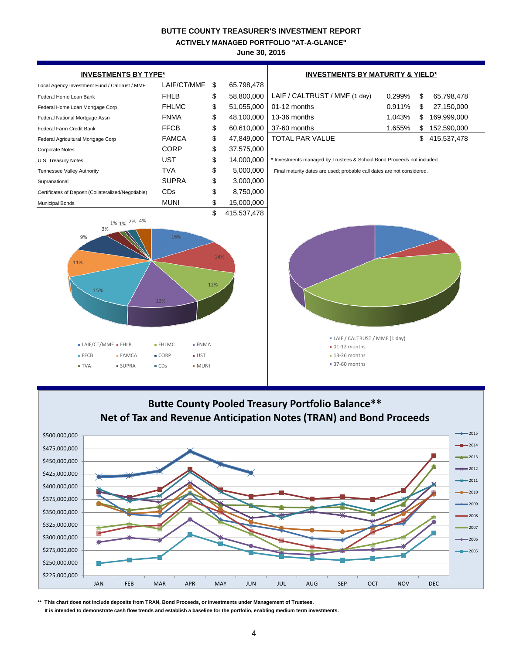**ACTIVELY MANAGED PORTFOLIO "AT-A-GLANCE"**

**June 30, 2015**





**\*\* This chart does not include deposits from TRAN, Bond Proceeds, or Investments under Management of Trustees.**

 **It is intended to demonstrate cash flow trends and establish a baseline for the portfolio, enabling medium term investments.**